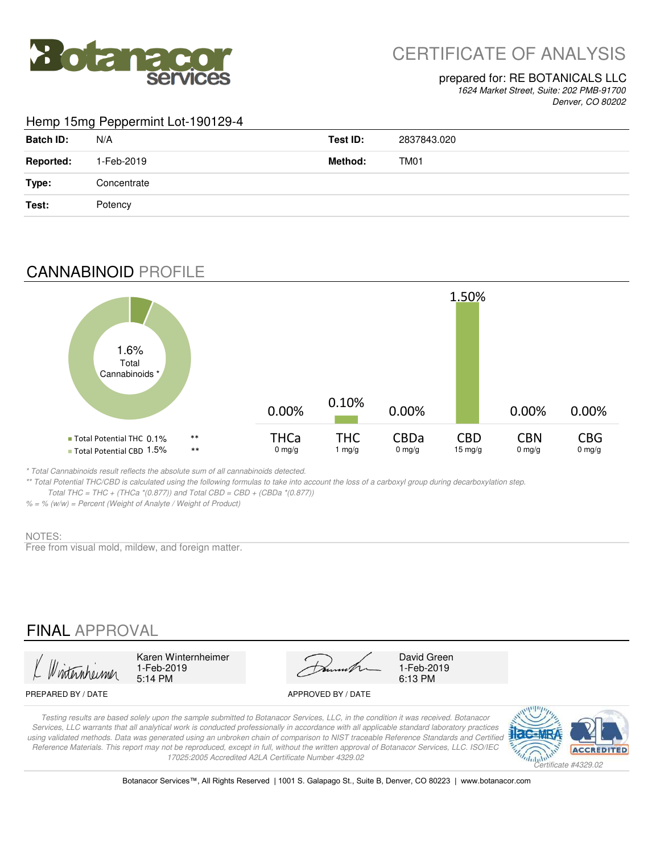

# CERTIFICATE OF ANALYSIS

#### prepared for: RE BOTANICALS LLC

*1624 Market Street, Suite: 202 PMB-91700 Denver, CO 80202*

#### Hemp 15mg Peppermint Lot-190129-4

| <b>Batch ID:</b> | N/A         | Test ID: | 2837843.020      |
|------------------|-------------|----------|------------------|
| <b>Reported:</b> | 1-Feb-2019  | Method:  | TM <sub>01</sub> |
| Type:            | Concentrate |          |                  |
| Test:            | Potency     |          |                  |

## CANNABINOID PROFILE



*\* Total Cannabinoids result reflects the absolute sum of all cannabinoids detected.*

*\*\* Total Potential THC/CBD is calculated using the following formulas to take into account the loss of a carboxyl group during decarboxylation step. Total THC = THC + (THCa \*(0.877)) and Total CBD = CBD + (CBDa \*(0.877))*

*% = % (w/w) = Percent (Weight of Analyte / Weight of Product)*

#### NOTES:

Free from visual mold, mildew, and foreign matter.

# FINAL APPROVAL

5:14 PM 6:13 PM 1-Feb-2019<br>5:14 PM

Karen Winternheimer David Green

1-Feb-2019

#### PREPARED BY / DATE APPROVED BY / DATE

*Testing results are based solely upon the sample submitted to Botanacor Services, LLC, in the condition it was received. Botanacor Services, LLC warrants that all analytical work is conducted professionally in accordance with all applicable standard laboratory practices using validated methods. Data was generated using an unbroken chain of comparison to NIST traceable Reference Standards and Certified Reference Materials. This report may not be reproduced, except in full, without the written approval of Botanacor Services, LLC. ISO/IEC 17025:2005 Accredited A2LA Certificate Number 4329.02*



Botanacor Services™, All Rights Reserved | 1001 S. Galapago St., Suite B, Denver, CO 80223 | www.botanacor.com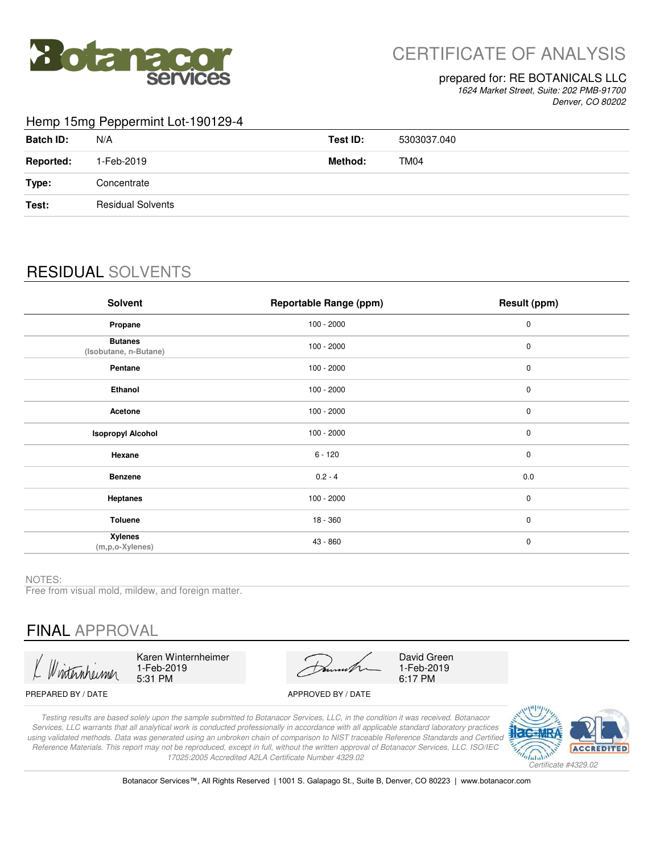

# CERTIFICATE OF ANALYSIS

#### prepared for: RE BOTANICALS LLC

*1624 Market Street, Suite: 202 PMB-91700 Denver, CO 80202*

#### Hemp 15mg Peppermint Lot-190129-4

| <b>Batch ID:</b> | N/A                      | Test ID: | 5303037.040 |
|------------------|--------------------------|----------|-------------|
| <b>Reported:</b> | 1-Feb-2019               | Method:  | TM04        |
| Type:            | Concentrate              |          |             |
| Test:            | <b>Residual Solvents</b> |          |             |
|                  |                          |          |             |

# RESIDUAL SOLVENTS

| Solvent                                 | <b>Reportable Range (ppm)</b> | Result (ppm) |
|-----------------------------------------|-------------------------------|--------------|
| Propane                                 | $100 - 2000$                  | $\pmb{0}$    |
| <b>Butanes</b><br>(Isobutane, n-Butane) | $100 - 2000$                  | $\pmb{0}$    |
| Pentane                                 | $100 - 2000$                  | $\pmb{0}$    |
| Ethanol                                 | $100 - 2000$                  | $\pmb{0}$    |
| Acetone                                 | $100 - 2000$                  | $\pmb{0}$    |
| <b>Isopropyl Alcohol</b>                | $100 - 2000$                  | $\pmb{0}$    |
| Hexane                                  | $6 - 120$                     | $\mathbf 0$  |
| <b>Benzene</b>                          | $0.2 - 4$                     | 0.0          |
| <b>Heptanes</b>                         | $100 - 2000$                  | $\mathbf 0$  |
| <b>Toluene</b>                          | 18 - 360                      | $\mathbf 0$  |
| <b>Xylenes</b><br>$(m, p, o$ -Xylenes)  | 43 - 860                      | $\pmb{0}$    |

NOTES:

Free from visual mold, mildew, and foreign matter.

# FINAL APPROVAL

Karen Winternheimer 1-Feb-2019 5:31 PM

David Green 1-Feb-2019 6:17 PM

#### PREPARED BY / DATE APPROVED BY / DATE

*Testing results are based solely upon the sample submitted to Botanacor Services, LLC, in the condition it was received. Botanacor Services, LLC warrants that all analytical work is conducted professionally in accordance with all applicable standard laboratory practices using validated methods. Data was generated using an unbroken chain of comparison to NIST traceable Reference Standards and Certified Reference Materials. This report may not be reproduced, except in full, without the written approval of Botanacor Services, LLC. ISO/IEC 17025:2005 Accredited A2LA Certificate Number 4329.02*



Botanacor Services™, All Rights Reserved | 1001 S. Galapago St., Suite B, Denver, CO 80223 | www.botanacor.com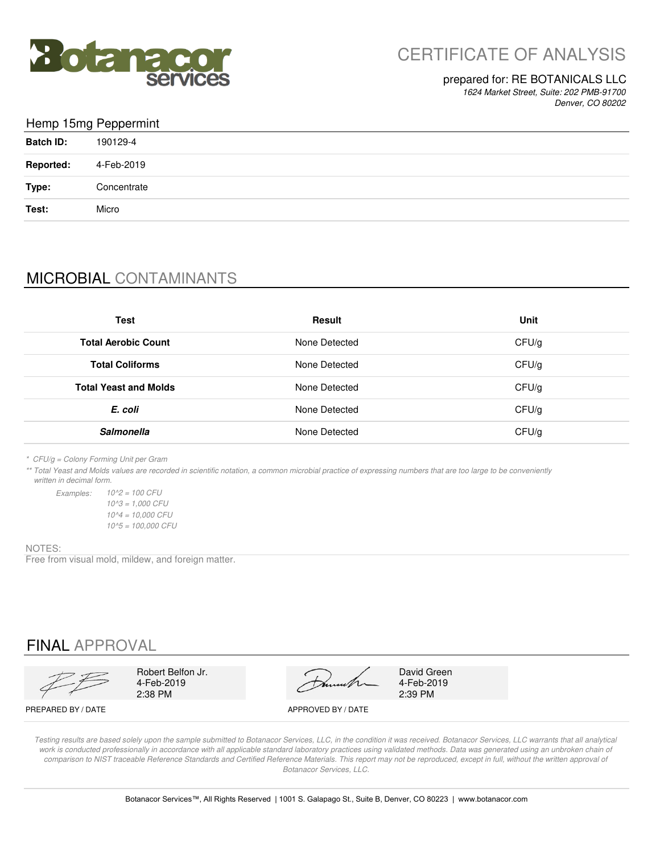

### prepared for: RE BOTANICALS LLC

*1624 Market Street, Suite: 202 PMB-91700 Denver, CO 80202*

### Hemp 15mg Peppermint

| <b>Batch ID:</b> | 190129-4    |
|------------------|-------------|
| <b>Reported:</b> | 4-Feb-2019  |
| Type:            | Concentrate |
| Test:            | Micro       |

# MICROBIAL CONTAMINANTS

| <b>Test</b>                  | <b>Result</b> | Unit  |
|------------------------------|---------------|-------|
| <b>Total Aerobic Count</b>   | None Detected | CFU/g |
| <b>Total Coliforms</b>       | None Detected | CFU/g |
| <b>Total Yeast and Molds</b> | None Detected | CFU/g |
| E. coli                      | None Detected | CFU/g |
| <b>Salmonella</b>            | None Detected | CFU/g |

*\* CFU/g = Colony Forming Unit per Gram*

*Examples:*

*\*\* Total Yeast and Molds values are recorded in scientific notation, a common microbial practice of expressing numbers that are too large to be conveniently written in decimal form.*

> *10^5 = 100,000 CFU 10^2 = 100 CFU 10^3 = 1,000 CFU 10^4 = 10,000 CFU*

#### NOTES:

Free from visual mold, mildew, and foreign matter.

## FINAL APPROVAL

2:38 PM 2:39 PM 4-Feb-2019

Robert Belfon Jr. David Green

4-Feb-2019

PREPARED BY / DATE APPROVED BY / DATE

*Testing results are based solely upon the sample submitted to Botanacor Services, LLC, in the condition it was received. Botanacor Services, LLC warrants that all analytical*  work is conducted professionally in accordance with all applicable standard laboratory practices using validated methods. Data was generated using an unbroken chain of comparison to NIST traceable Reference Standards and Certified Reference Materials. This report may not be reproduced, except in full, without the written approval of *Botanacor Services, LLC.*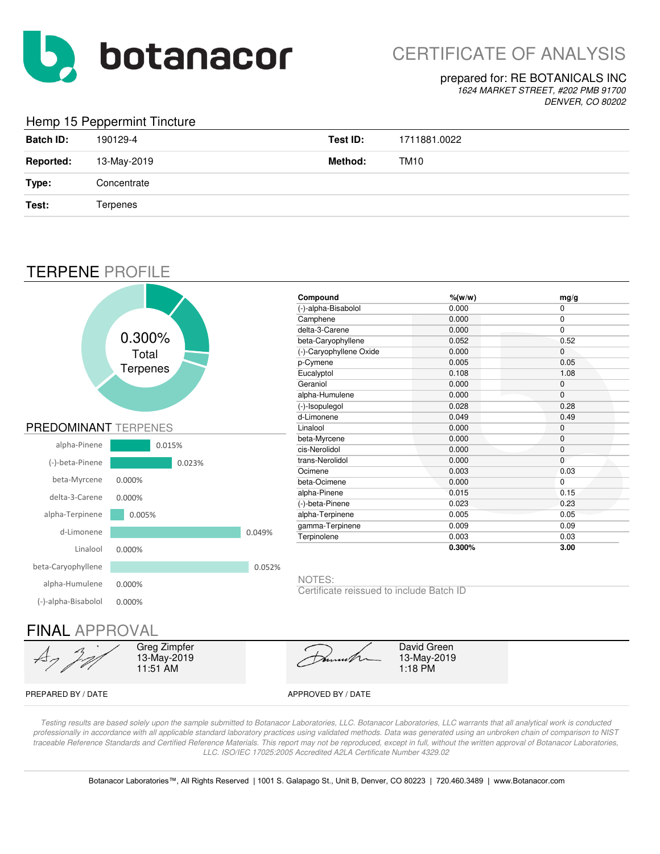

# CERTIFICATE OF ANALYSIS

#### prepared for: RE BOTANICALS INC

*1624 MARKET STREET, #202 PMB 91700 DENVER, CO 80202*

### Hemp 15 Peppermint Tincture

| and the contract of the contract of the contract of the contract of the contract of the contract of the contract of the contract of the contract of the contract of the contract of the contract of the contract of the contra | . .         |          |                  |
|--------------------------------------------------------------------------------------------------------------------------------------------------------------------------------------------------------------------------------|-------------|----------|------------------|
| <b>Batch ID:</b>                                                                                                                                                                                                               | 190129-4    | Test ID: | 1711881.0022     |
| <b>Reported:</b>                                                                                                                                                                                                               | 13-May-2019 | Method:  | TM <sub>10</sub> |
| Type:                                                                                                                                                                                                                          | Concentrate |          |                  |
| Test:                                                                                                                                                                                                                          | Terpenes    |          |                  |
|                                                                                                                                                                                                                                |             |          |                  |

## TERPENE PROFILE



*Testing results are based solely upon the sample submitted to Botanacor Laboratories, LLC. Botanacor Laboratories, LLC warrants that all analytical work is conducted professionally in accordance with all applicable standard laboratory practices using validated methods. Data was generated using an unbroken chain of comparison to NIST*  traceable Reference Standards and Certified Reference Materials. This report may not be reproduced, except in full, without the written approval of Botanacor Laboratories, *LLC. ISO/IEC 17025:2005 Accredited A2LA Certificate Number 4329.02*

Botanacor Laboratories™, All Rights Reserved | 1001 S. Galapago St., Unit B, Denver, CO 80223 | 720.460.3489 | www.Botanacor.com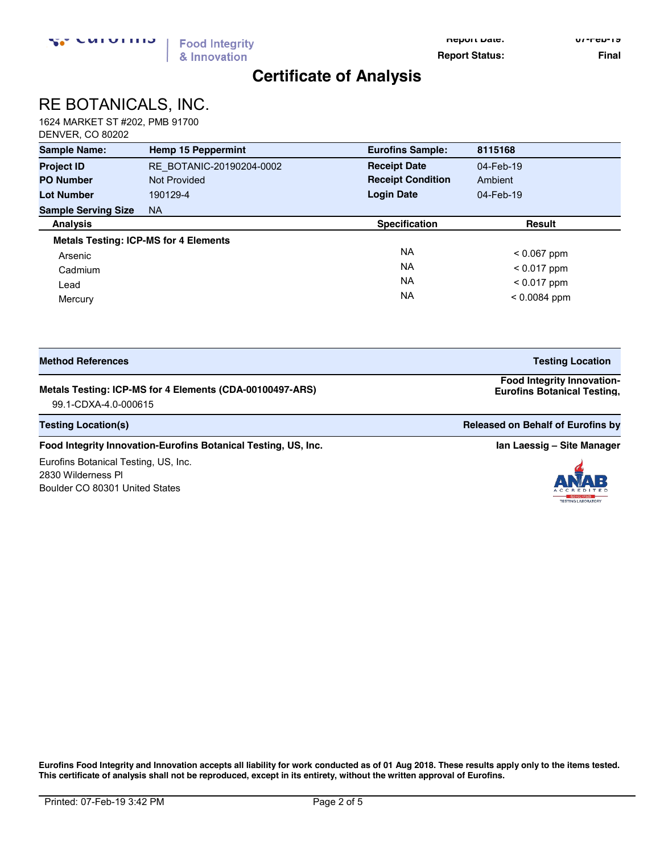**Report Date: 07-Feb-19**

**Report Status:** Final

## **Certificate of Analysis**

# RE BOTANICALS, INC.

1624 MARKET ST #202, PMB 91700 DENVER, CO 80202

| <b>Sample Name:</b>                          | <b>Hemp 15 Peppermint</b> | <b>Eurofins Sample:</b>  | 8115168        |
|----------------------------------------------|---------------------------|--------------------------|----------------|
| <b>Project ID</b>                            | RE BOTANIC-20190204-0002  | <b>Receipt Date</b>      | 04-Feb-19      |
| <b>PO Number</b>                             | <b>Not Provided</b>       | <b>Receipt Condition</b> | Ambient        |
| <b>Lot Number</b>                            | 190129-4                  | <b>Login Date</b>        | 04-Feb-19      |
| <b>Sample Serving Size</b>                   | NA.                       |                          |                |
| <b>Analysis</b>                              |                           | <b>Specification</b>     | <b>Result</b>  |
| <b>Metals Testing: ICP-MS for 4 Elements</b> |                           |                          |                |
| Arsenic                                      |                           | <b>NA</b>                | $< 0.067$ ppm  |
| Cadmium                                      |                           | <b>NA</b>                | $< 0.017$ ppm  |
| Lead                                         |                           | <b>NA</b>                | $< 0.017$ ppm  |
| Mercury                                      |                           | <b>NA</b>                | $< 0.0084$ ppm |

| <b>Method References</b>                                 | <b>Testing Location</b>                                                 |
|----------------------------------------------------------|-------------------------------------------------------------------------|
| Metals Testing: ICP-MS for 4 Elements (CDA-00100497-ARS) | <b>Food Integrity Innovation-</b><br><b>Eurofins Botanical Testing,</b> |

99.1-CDXA-4.0-000615 **US, Inc.** 

**Testing Location(s) Released on Behalf of Eurofins by Released on Behalf of Eurofins by Released on Behalf of Eurofins by** 

#### **Food Integrity Innovation-Eurofins Botanical Testing, US, Inc. <b>In Accord 2018 In Laessig –** Site Manager

Eurofins Botanical Testing, US, Inc. 2830 Wilderness Pl Boulder CO 80301 United States

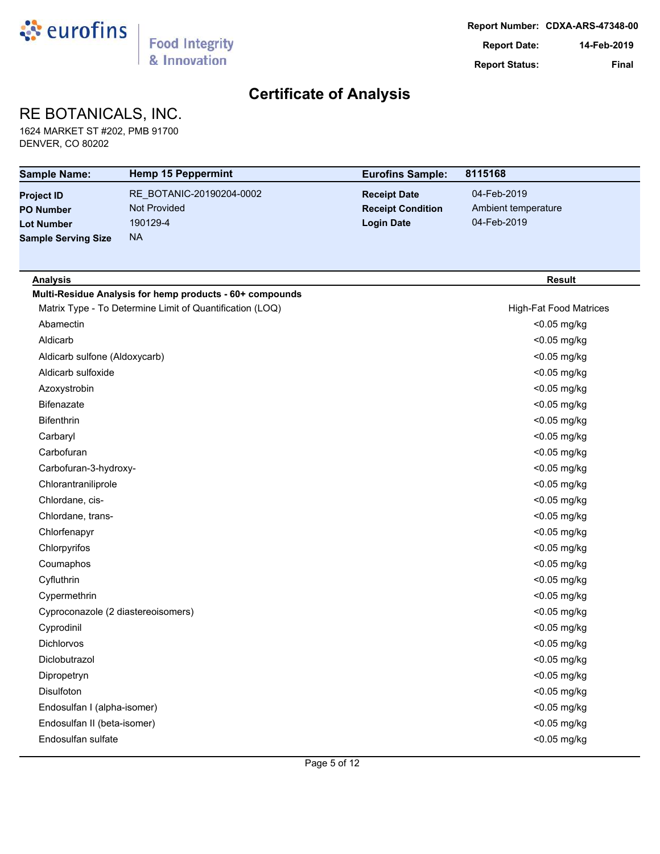

## RE BOTANICALS, INC.

1624 MARKET ST #202, PMB 91700 DENVER, CO 80202

| <b>Sample Name:</b>                | <b>Hemp 15 Peppermint</b>                                | <b>Eurofins Sample:</b>  | 8115168                       |
|------------------------------------|----------------------------------------------------------|--------------------------|-------------------------------|
| <b>Project ID</b>                  | RE BOTANIC-20190204-0002                                 | <b>Receipt Date</b>      | 04-Feb-2019                   |
| <b>PO Number</b>                   | <b>Not Provided</b>                                      | <b>Receipt Condition</b> | Ambient temperature           |
| <b>Lot Number</b>                  | 190129-4                                                 | <b>Login Date</b>        | 04-Feb-2019                   |
| <b>Sample Serving Size</b>         | <b>NA</b>                                                |                          |                               |
|                                    |                                                          |                          |                               |
| <b>Analysis</b>                    |                                                          |                          | <b>Result</b>                 |
|                                    | Multi-Residue Analysis for hemp products - 60+ compounds |                          |                               |
|                                    | Matrix Type - To Determine Limit of Quantification (LOQ) |                          | <b>High-Fat Food Matrices</b> |
| Abamectin                          |                                                          |                          | <0.05 mg/kg                   |
| Aldicarb                           |                                                          |                          | <0.05 mg/kg                   |
| Aldicarb sulfone (Aldoxycarb)      |                                                          |                          | <0.05 mg/kg                   |
| Aldicarb sulfoxide                 |                                                          |                          | <0.05 mg/kg                   |
| Azoxystrobin                       |                                                          |                          | <0.05 mg/kg                   |
| Bifenazate                         |                                                          |                          | <0.05 mg/kg                   |
| <b>Bifenthrin</b>                  |                                                          |                          | <0.05 mg/kg                   |
| Carbaryl                           |                                                          |                          | <0.05 mg/kg                   |
| Carbofuran                         |                                                          |                          | <0.05 mg/kg                   |
| Carbofuran-3-hydroxy-              |                                                          |                          | <0.05 mg/kg                   |
| Chlorantraniliprole                |                                                          |                          | <0.05 mg/kg                   |
| Chlordane, cis-                    |                                                          |                          | <0.05 mg/kg                   |
| Chlordane, trans-                  |                                                          |                          | <0.05 mg/kg                   |
| Chlorfenapyr                       |                                                          |                          | <0.05 mg/kg                   |
| Chlorpyrifos                       |                                                          |                          | <0.05 mg/kg                   |
| Coumaphos                          |                                                          |                          | <0.05 mg/kg                   |
| Cyfluthrin                         |                                                          |                          | <0.05 mg/kg                   |
| Cypermethrin                       |                                                          |                          | <0.05 mg/kg                   |
| Cyproconazole (2 diastereoisomers) |                                                          |                          | <0.05 mg/kg                   |
| Cyprodinil                         |                                                          |                          | <0.05 mg/kg                   |
| Dichlorvos                         |                                                          |                          | <0.05 mg/kg                   |
| Diclobutrazol                      |                                                          |                          | <0.05 mg/kg                   |
| Dipropetryn                        |                                                          |                          | <0.05 mg/kg                   |
| Disulfoton                         |                                                          |                          | <0.05 mg/kg                   |
| Endosulfan I (alpha-isomer)        |                                                          |                          | <0.05 mg/kg                   |
| Endosulfan II (beta-isomer)        |                                                          |                          | <0.05 mg/kg                   |
| Endosulfan sulfate                 |                                                          |                          | <0.05 mg/kg                   |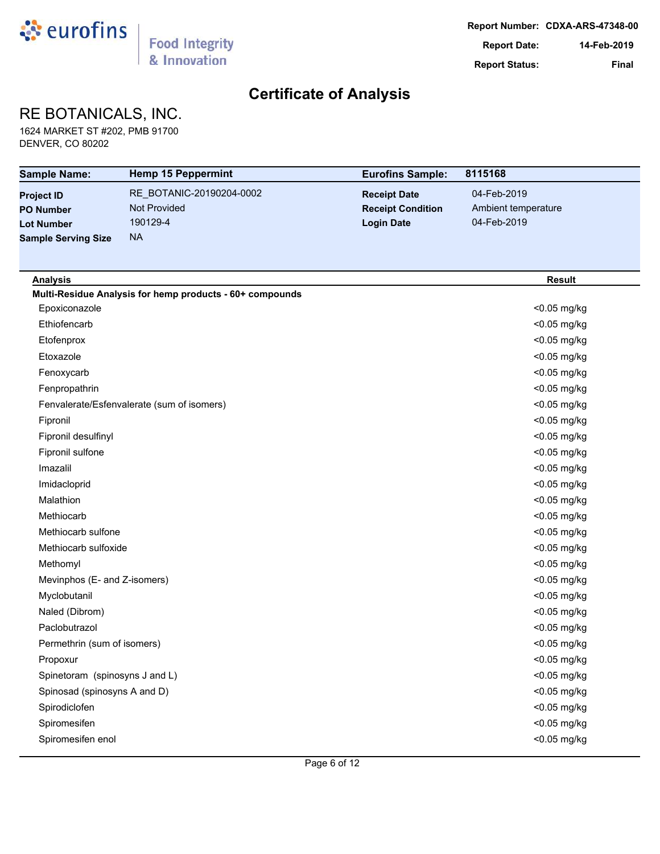

## RE BOTANICALS, INC.

1624 MARKET ST #202, PMB 91700 DENVER, CO 80202

| <b>Sample Name:</b>            | <b>Hemp 15 Peppermint</b>                                | <b>Eurofins Sample:</b>  | 8115168             |
|--------------------------------|----------------------------------------------------------|--------------------------|---------------------|
| <b>Project ID</b>              | RE_BOTANIC-20190204-0002                                 | <b>Receipt Date</b>      | 04-Feb-2019         |
| <b>PO Number</b>               | Not Provided                                             | <b>Receipt Condition</b> | Ambient temperature |
| <b>Lot Number</b>              | 190129-4                                                 | <b>Login Date</b>        | 04-Feb-2019         |
| <b>Sample Serving Size</b>     | <b>NA</b>                                                |                          |                     |
|                                |                                                          |                          |                     |
| <b>Analysis</b>                |                                                          |                          | <b>Result</b>       |
|                                | Multi-Residue Analysis for hemp products - 60+ compounds |                          |                     |
| Epoxiconazole                  |                                                          |                          | <0.05 mg/kg         |
| Ethiofencarb                   |                                                          |                          | <0.05 mg/kg         |
| Etofenprox                     |                                                          |                          | <0.05 mg/kg         |
| Etoxazole                      |                                                          |                          | <0.05 mg/kg         |
| Fenoxycarb                     |                                                          |                          | <0.05 mg/kg         |
| Fenpropathrin                  |                                                          |                          | <0.05 mg/kg         |
|                                | Fenvalerate/Esfenvalerate (sum of isomers)               |                          | <0.05 mg/kg         |
| Fipronil                       |                                                          |                          | <0.05 mg/kg         |
| Fipronil desulfinyl            |                                                          |                          | <0.05 mg/kg         |
| Fipronil sulfone               |                                                          |                          | <0.05 mg/kg         |
| Imazalil                       |                                                          |                          | <0.05 mg/kg         |
| Imidacloprid                   |                                                          |                          | <0.05 mg/kg         |
| Malathion                      |                                                          |                          | <0.05 mg/kg         |
| Methiocarb                     |                                                          |                          | <0.05 mg/kg         |
| Methiocarb sulfone             |                                                          |                          | <0.05 mg/kg         |
| Methiocarb sulfoxide           |                                                          |                          | <0.05 mg/kg         |
| Methomyl                       |                                                          |                          | <0.05 mg/kg         |
| Mevinphos (E- and Z-isomers)   |                                                          |                          | <0.05 mg/kg         |
| Myclobutanil                   |                                                          |                          | <0.05 mg/kg         |
| Naled (Dibrom)                 |                                                          |                          | <0.05 mg/kg         |
| Paclobutrazol                  |                                                          |                          | <0.05 mg/kg         |
| Permethrin (sum of isomers)    |                                                          |                          | <0.05 mg/kg         |
| Propoxur                       |                                                          |                          | <0.05 mg/kg         |
| Spinetoram (spinosyns J and L) |                                                          |                          | <0.05 mg/kg         |
| Spinosad (spinosyns A and D)   |                                                          |                          | <0.05 mg/kg         |
| Spirodiclofen                  |                                                          |                          | <0.05 mg/kg         |
| Spiromesifen                   |                                                          |                          | <0.05 mg/kg         |
| Spiromesifen enol              |                                                          |                          | <0.05 mg/kg         |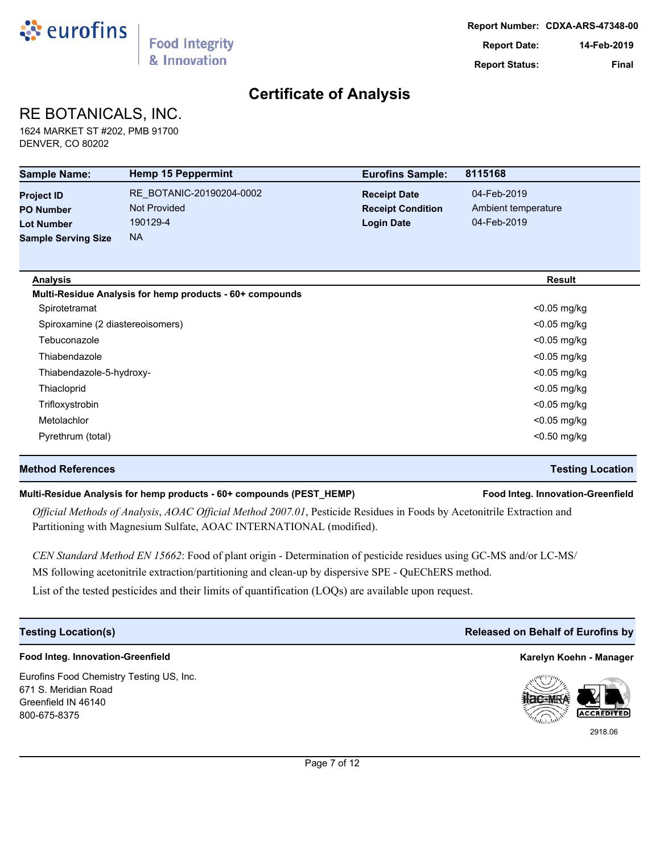

# RE BOTANICALS, INC.

1624 MARKET ST #202, PMB 91700 DENVER, CO 80202

| <b>Sample Name:</b>              | <b>Hemp 15 Peppermint</b>                                | <b>Eurofins Sample:</b>  | 8115168             |
|----------------------------------|----------------------------------------------------------|--------------------------|---------------------|
| <b>Project ID</b>                | RE BOTANIC-20190204-0002                                 | <b>Receipt Date</b>      | 04-Feb-2019         |
| <b>PO Number</b>                 | <b>Not Provided</b>                                      | <b>Receipt Condition</b> | Ambient temperature |
| <b>Lot Number</b>                | 190129-4                                                 | <b>Login Date</b>        | 04-Feb-2019         |
| <b>Sample Serving Size</b>       | <b>NA</b>                                                |                          |                     |
| <b>Analysis</b>                  |                                                          |                          | <b>Result</b>       |
|                                  | Multi-Residue Analysis for hemp products - 60+ compounds |                          |                     |
| Spirotetramat                    |                                                          |                          | <0.05 mg/kg         |
| Spiroxamine (2 diastereoisomers) |                                                          |                          | $<$ 0.05 mg/kg      |
| Tebuconazole                     |                                                          |                          | $<$ 0.05 mg/kg      |
| Thiabendazole                    |                                                          |                          | $<$ 0.05 mg/kg      |
| Thiabendazole-5-hydroxy-         |                                                          |                          | $<$ 0.05 mg/kg      |
| Thiacloprid                      |                                                          |                          | $<$ 0.05 mg/kg      |
| Trifloxystrobin                  |                                                          |                          | <0.05 mg/kg         |
| Metolachlor                      |                                                          |                          | $<$ 0.05 mg/kg      |
| Pyrethrum (total)                |                                                          |                          | <0.50 mg/kg         |

#### **Method References Testing Location**

#### **Multi-Residue Analysis for hemp products - 60+ compounds (PEST\_HEMP) Food Integ. Innovation-Greenfield**

*Official Methods of Analysis*, *AOAC Official Method 2007.01*, Pesticide Residues in Foods by Acetonitrile Extraction and Partitioning with Magnesium Sulfate, AOAC INTERNATIONAL (modified).

*CEN Standard Method EN 15662*: Food of plant origin - Determination of pesticide residues using GC-MS and/or LC-MS/ MS following acetonitrile extraction/partitioning and clean-up by dispersive SPE - QuEChERS method.

List of the tested pesticides and their limits of quantification (LOQs) are available upon request.

### **Food Integ. Innovation-Greenfield Karelyn Koehn - Manager**

Eurofins Food Chemistry Testing US, Inc. 671 S. Meridian Road Greenfield IN 46140 800-675-8375

### **Testing Location(s) Released on Behalf of Eurofins by**



2918.06